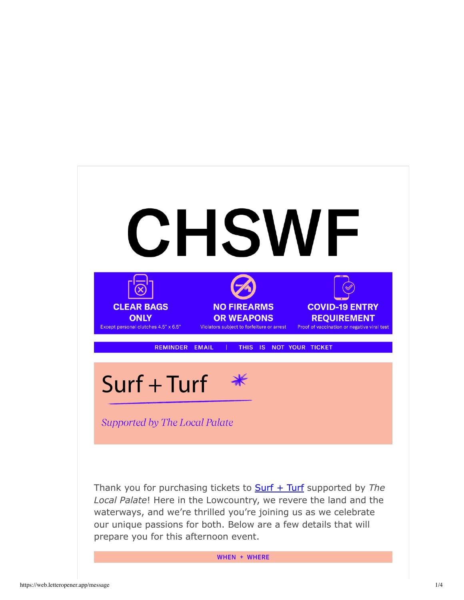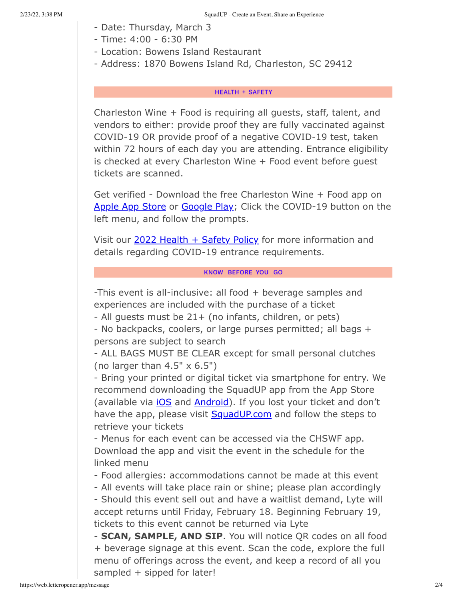- Date: Thursday, March 3
- Time: 4:00 6:30 PM
- Location: Bowens Island Restaurant
- Address: 1870 Bowens Island Rd, Charleston, SC 29412

## **HEALTH + SAFETY**

Charleston Wine + Food is requiring all guests, staff, talent, and vendors to either: provide proof they are fully vaccinated against COVID-19 OR provide proof of a negative COVID-19 test, taken within 72 hours of each day you are attending. Entrance eligibility is checked at every Charleston Wine + Food event before guest tickets are scanned.

Get verified - Download the free Charleston Wine + Food app on Apple App Store or Google Play; Click the COVID-19 button on the left menu, and follow the prompts.

Visit our 2022 Health + Safety Policy for more information and details regarding COVID-19 entrance requirements.

## KNOW BEFORE YOU GO

-This event is all-inclusive: all food + beverage samples and experiences are included with the purchase of a ticket

- All guests must be 21+ (no infants, children, or pets)

- No backpacks, coolers, or large purses permitted; all bags + persons are subject to search

- ALL BAGS MUST BE CLEAR except for small personal clutches (no larger than  $4.5" \times 6.5"$ )

- Bring your printed or digital ticket via smartphone for entry. We recommend downloading the SquadUP app from the App Store (available via *iOS* and **Android**). If you lost your ticket and don't have the app, please visit SquadUP.com and follow the steps to retrieve your tickets

- Menus for each event can be accessed via the CHSWF app. Download the app and visit the event in the schedule for the linked menu

- Food allergies: accommodations cannot be made at this event

- All events will take place rain or shine; please plan accordingly

- Should this event sell out and have a waitlist demand, Lyte will accept returns until Friday, February 18. Beginning February 19, tickets to this event cannot be returned via Lyte

- **SCAN, SAMPLE, AND SIP**. You will notice QR codes on all food + beverage signage at this event. Scan the code, explore the full menu of offerings across the event, and keep a record of all you sampled + sipped for later!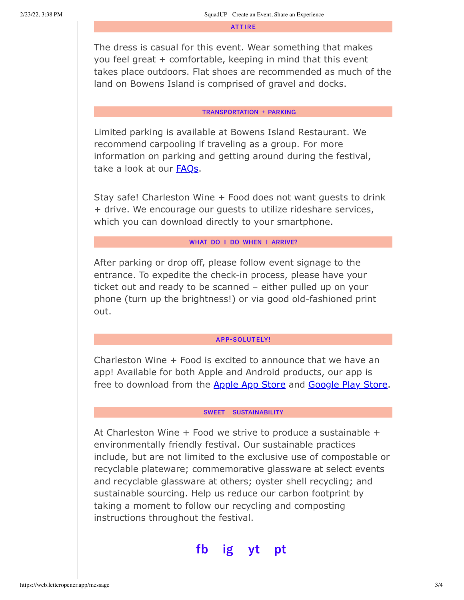**ATTIRE** 

The dress is casual for this event. Wear something that makes you feel great + comfortable, keeping in mind that this event takes place outdoors. Flat shoes are recommended as much of the land on Bowens Island is comprised of gravel and docks.

#### **TRANSPORTATION + PARKING**

Limited parking is available at Bowens Island Restaurant. We recommend carpooling if traveling as a group. For more information on parking and getting around during the festival, take a look at our FAQs.

Stay safe! Charleston Wine + Food does not want guests to drink + drive. We encourage our guests to utilize rideshare services, which you can download directly to your smartphone.

## WHAT DO I DO WHEN I ARRIVE?

After parking or drop off, please follow event signage to the entrance. To expedite the check-in process, please have your ticket out and ready to be scanned – either pulled up on your phone (turn up the brightness!) or via good old-fashioned print out.

### **APP-SOLUTELY!**

Charleston Wine + Food is excited to announce that we have an app! Available for both Apple and Android products, our app is free to download from the Apple App Store and Google Play Store.

#### SWEET SUSTAINABILITY

At Charleston Wine  $+$  Food we strive to produce a sustainable  $+$ environmentally friendly festival. Our sustainable practices include, but are not limited to the exclusive use of compostable or recyclable plateware; commemorative glassware at select events and recyclable glassware at others; oyster shell recycling; and sustainable sourcing. Help us reduce our carbon footprint by taking a moment to follow our recycling and composting instructions throughout the festival.

#### fb ig pt Vt.